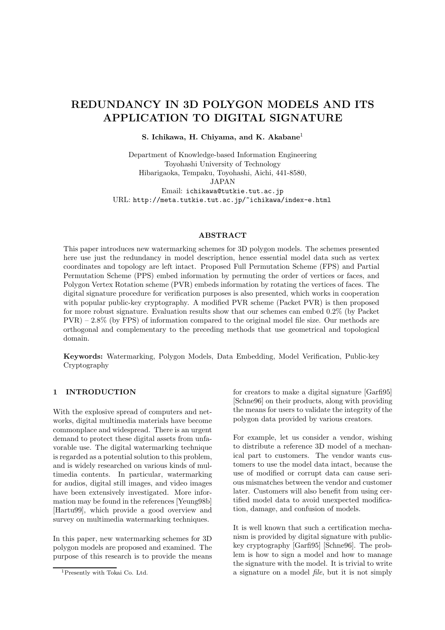# **REDUNDANCY IN 3D POLYGON MODELS AND ITS APPLICATION TO DIGITAL SIGNATURE**

**S. Ichikawa, H. Chiyama, and K. Akabane**<sup>1</sup>

Department of Knowledge-based Information Engineering Toyohashi University of Technology Hibarigaoka, Tempaku, Toyohashi, Aichi, 441-8580, JAPAN Email: ichikawa@tutkie.tut.ac.jp URL: http://meta.tutkie.tut.ac.jp/~ichikawa/index-e.html

### **ABSTRACT**

This paper introduces new watermarking schemes for 3D polygon models. The schemes presented here use just the redundancy in model description, hence essential model data such as vertex coordinates and topology are left intact. Proposed Full Permutation Scheme (FPS) and Partial Permutation Scheme (PPS) embed information by permuting the order of vertices or faces, and Polygon Vertex Rotation scheme (PVR) embeds information by rotating the vertices of faces. The digital signature procedure for verification purposes is also presented, which works in cooperation with popular public-key cryptography. A modified PVR scheme (Packet PVR) is then proposed for more robust signature. Evaluation results show that our schemes can embed 0.2% (by Packet PVR) – 2.8% (by FPS) of information compared to the original model file size. Our methods are orthogonal and complementary to the preceding methods that use geometrical and topological domain.

**Keywords:** Watermarking, Polygon Models, Data Embedding, Model Verification, Public-key Cryptography

### **1 INTRODUCTION**

With the explosive spread of computers and networks, digital multimedia materials have become commonplace and widespread. There is an urgent demand to protect these digital assets from unfavorable use. The digital watermarking technique is regarded as a potential solution to this problem, and is widely researched on various kinds of multimedia contents. In particular, watermarking for audios, digital still images, and video images have been extensively investigated. More information may be found in the references [Yeung98b] [Hartu99], which provide a good overview and survey on multimedia watermarking techniques.

In this paper, new watermarking schemes for 3D polygon models are proposed and examined. The purpose of this research is to provide the means for creators to make a digital signature [Garfi95] [Schne96] on their products, along with providing the means for users to validate the integrity of the polygon data provided by various creators.

For example, let us consider a vendor, wishing to distribute a reference 3D model of a mechanical part to customers. The vendor wants customers to use the model data intact, because the use of modified or corrupt data can cause serious mismatches between the vendor and customer later. Customers will also benefit from using certified model data to avoid unexpected modification, damage, and confusion of models.

It is well known that such a certification mechanism is provided by digital signature with publickey cryptography [Garfi95] [Schne96]. The problem is how to sign a model and how to manage the signature with the model. It is trivial to write a signature on a model *file*, but it is not simply

<sup>1</sup>Presently with Tokai Co. Ltd.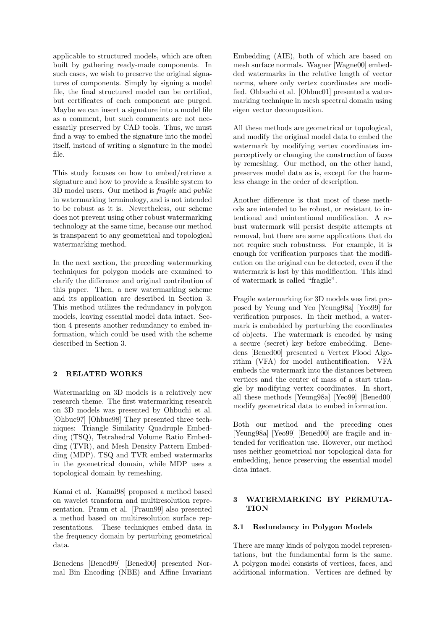applicable to structured models, which are often built by gathering ready-made components. In such cases, we wish to preserve the original signatures of components. Simply by signing a model file, the final structured model can be certified, but certificates of each component are purged. Maybe we can insert a signature into a model file as a comment, but such comments are not necessarily preserved by CAD tools. Thus, we must find a way to embed the signature into the model itself, instead of writing a signature in the model file.

This study focuses on how to embed/retrieve a signature and how to provide a feasible system to 3D model users. Our method is *fragile* and *public* in watermarking terminology, and is not intended to be robust as it is. Nevertheless, our scheme does not prevent using other robust watermarking technology at the same time, because our method is transparent to any geometrical and topological watermarking method.

In the next section, the preceding watermarking techniques for polygon models are examined to clarify the difference and original contribution of this paper. Then, a new watermarking scheme and its application are described in Section 3. This method utilizes the redundancy in polygon models, leaving essential model data intact. Section 4 presents another redundancy to embed information, which could be used with the scheme described in Section 3.

# **2 RELATED WORKS**

Watermarking on 3D models is a relatively new research theme. The first watermarking research on 3D models was presented by Ohbuchi et al. [Ohbuc97] [Ohbuc98] They presented three techniques: Triangle Similarity Quadruple Embedding (TSQ), Tetrahedral Volume Ratio Embedding (TVR), and Mesh Density Pattern Embedding (MDP). TSQ and TVR embed watermarks in the geometrical domain, while MDP uses a topological domain by remeshing.

Kanai et al. [Kanai98] proposed a method based on wavelet transform and multiresolution representation. Praun et al. [Praun99] also presented a method based on multiresolution surface representations. These techniques embed data in the frequency domain by perturbing geometrical data.

Benedens [Bened99] [Bened00] presented Normal Bin Encoding (NBE) and Affine Invariant Embedding (AIE), both of which are based on mesh surface normals. Wagner [Wagne00] embedded watermarks in the relative length of vector norms, where only vertex coordinates are modified. Ohbuchi et al. [Ohbuc01] presented a watermarking technique in mesh spectral domain using eigen vector decomposition.

All these methods are geometrical or topological, and modify the original model data to embed the watermark by modifying vertex coordinates imperceptively or changing the construction of faces by remeshing. Our method, on the other hand, preserves model data as is, except for the harmless change in the order of description.

Another difference is that most of these methods are intended to be robust, or resistant to intentional and unintentional modification. A robust watermark will persist despite attempts at removal, but there are some applications that do not require such robustness. For example, it is enough for verification purposes that the modification on the original can be detected, even if the watermark is lost by this modification. This kind of watermark is called "fragile".

Fragile watermarking for 3D models was first proposed by Yeung and Yeo [Yeung98a] [Yeo99] for verification purposes. In their method, a watermark is embedded by perturbing the coordinates of objects. The watermark is encoded by using a secure (secret) key before embedding. Benedens [Bened00] presented a Vertex Flood Algorithm (VFA) for model authentification. VFA embeds the watermark into the distances between vertices and the center of mass of a start triangle by modifying vertex coordinates. In short, all these methods [Yeung98a] [Yeo99] [Bened00] modify geometrical data to embed information.

Both our method and the preceding ones [Yeung98a] [Yeo99] [Bened00] are fragile and intended for verification use. However, our method uses neither geometrical nor topological data for embedding, hence preserving the essential model data intact.

### **3 WATERMARKING BY PERMUTA-TION**

# **3.1 Redundancy in Polygon Models**

There are many kinds of polygon model representations, but the fundamental form is the same. A polygon model consists of vertices, faces, and additional information. Vertices are defined by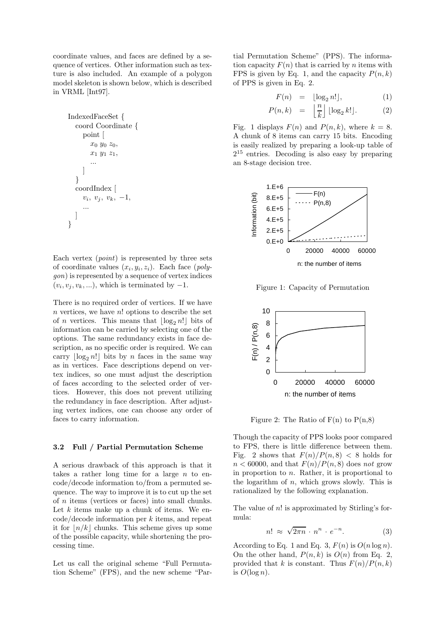coordinate values, and faces are defined by a sequence of vertices. Other information such as texture is also included. An example of a polygon model skeleton is shown below, which is described in VRML [Int97].

```
IndexedFaceSet {
  coord Coordinate {
     point [
        x_0 y_0 z_0,
        x_1 y_1 z_1,
     ]
  }
  coordIndex [
     v_i, v_j, v_k, -1,...
   ]
}
```
Each vertex (*point*) is represented by three sets of coordinate values  $(x_i, y_i, z_i)$ . Each face (*polygon*) is represented by a sequence of vertex indices  $(v_i, v_i, v_k, \ldots)$ , which is terminated by  $-1$ .

There is no required order of vertices. If we have  $n$  vertices, we have  $n!$  options to describe the set of *n* vertices. This means that  $\lfloor \log_2 n! \rfloor$  bits of information can be carried by selecting one of the options. The same redundancy exists in face description, as no specific order is required. We can carry  $\lfloor \log_2 n! \rfloor$  bits by *n* faces in the same way as in vertices. Face descriptions depend on vertex indices, so one must adjust the description of faces according to the selected order of vertices. However, this does not prevent utilizing the redundancy in face description. After adjusting vertex indices, one can choose any order of faces to carry information.

### **3.2 Full / Partial Permutation Scheme**

A serious drawback of this approach is that it takes a rather long time for a large  $n$  to encode/decode information to/from a permuted sequence. The way to improve it is to cut up the set of n items (vertices or faces) into small chunks. Let  $k$  items make up a chunk of items. We encode/decode information per k items, and repeat it for  $\lfloor n/k \rfloor$  chunks. This scheme gives up some of the possible capacity, while shortening the processing time.

Let us call the original scheme "Full Permutation Scheme" (FPS), and the new scheme "Partial Permutation Scheme" (PPS). The information capacity  $F(n)$  that is carried by n items with FPS is given by Eq. 1, and the capacity  $P(n, k)$ of PPS is given in Eq. 2.

$$
F(n) = \lfloor \log_2 n! \rfloor, \tag{1}
$$

$$
P(n,k) = \left\lfloor \frac{n}{k} \right\rfloor \lfloor \log_2 k! \rfloor. \tag{2}
$$

Fig. 1 displays  $F(n)$  and  $P(n, k)$ , where  $k = 8$ . A chunk of 8 items can carry 15 bits. Encoding is easily realized by preparing a look-up table of  $2^{15}$  entries. Decoding is also easy by preparing an 8-stage decision tree.



Figure 1: Capacity of Permutation



Figure 2: The Ratio of  $F(n)$  to  $P(n,8)$ 

Though the capacity of PPS looks poor compared to FPS, there is little difference between them. Fig. 2 shows that  $F(n)/P(n, 8) < 8$  holds for  $n < 60000$ , and that  $F(n)/P(n, 8)$  does not grow in proportion to  $n$ . Rather, it is proportional to the logarithm of  $n$ , which grows slowly. This is rationalized by the following explanation.

The value of  $n!$  is approximated by Stirling's formula:

$$
n! \approx \sqrt{2\pi n} \cdot n^n \cdot e^{-n}.
$$
 (3)

According to Eq. 1 and Eq. 3,  $F(n)$  is  $O(n \log n)$ . On the other hand,  $P(n, k)$  is  $O(n)$  from Eq. 2, provided that k is constant. Thus  $F(n)/P(n, k)$ is  $O(\log n)$ .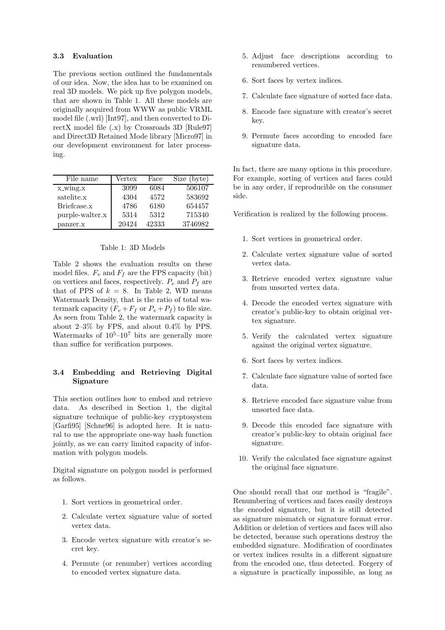## **3.3 Evaluation**

The previous section outlined the fundamentals of our idea. Now, the idea has to be examined on real 3D models. We pick up five polygon models, that are shown in Table 1. All these models are originally acquired from WWW as public VRML model file (.wrl) [Int97], and then converted to DirectX model file (.x) by Crossroads 3D [Rule97] and Direct3D Retained Mode library [Micro97] in our development environment for later processing.

| File name       | Vertex | Face  | Size (byte) |
|-----------------|--------|-------|-------------|
| x_wing.x        | 3099   | 6084  | 506107      |
| satelite.x      | 4304   | 4572  | 583692      |
| Briefcase.x     | 4786   | 6180  | 654457      |
| purple-walter.x | 5314   | 5312  | 715340      |
| panzer.x        | 20424  | 42333 | 3746982     |

#### Table 1: 3D Models

Table 2 shows the evaluation results on these model files.  $F_v$  and  $F_f$  are the FPS capacity (bit) on vertices and faces, respectively.  $P_v$  and  $P_f$  are that of PPS of  $k = 8$ . In Table 2, WD means Watermark Density, that is the ratio of total watermark capacity  $(F_v + F_f \text{ or } P_v + P_f)$  to file size. As seen from Table 2, the watermark capacity is about 2–3% by FPS, and about 0.4% by PPS. Watermarks of  $10^5$ – $10^7$  bits are generally more than suffice for verification purposes.

# **3.4 Embedding and Retrieving Digital Signature**

This section outlines how to embed and retrieve data. As described in Section 1, the digital signature technique of public-key cryptosystem [Garfi95] [Schne96] is adopted here. It is natural to use the appropriate one-way hash function jointly, as we can carry limited capacity of information with polygon models.

Digital signature on polygon model is performed as follows.

- 1. Sort vertices in geometrical order.
- 2. Calculate vertex signature value of sorted vertex data.
- 3. Encode vertex signature with creator's secret key.
- 4. Permute (or renumber) vertices according to encoded vertex signature data.
- 5. Adjust face descriptions according to renumbered vertices.
- 6. Sort faces by vertex indices.
- 7. Calculate face signature of sorted face data.
- 8. Encode face signature with creator's secret key.
- 9. Permute faces according to encoded face signature data.

In fact, there are many options in this procedure. For example, sorting of vertices and faces could be in any order, if reproducible on the consumer side.

Verification is realized by the following process.

- 1. Sort vertices in geometrical order.
- 2. Calculate vertex signature value of sorted vertex data.
- 3. Retrieve encoded vertex signature value from unsorted vertex data.
- 4. Decode the encoded vertex signature with creator's public-key to obtain original vertex signature.
- 5. Verify the calculated vertex signature against the original vertex signature.
- 6. Sort faces by vertex indices.
- 7. Calculate face signature value of sorted face data.
- 8. Retrieve encoded face signature value from unsorted face data.
- 9. Decode this encoded face signature with creator's public-key to obtain original face signature.
- 10. Verify the calculated face signature against the original face signature.

One should recall that our method is "fragile". Renumbering of vertices and faces easily destroys the encoded signature, but it is still detected as signature mismatch or signature format error. Addition or deletion of vertices and faces will also be detected, because such operations destroy the embedded signature. Modification of coordinates or vertex indices results in a different signature from the encoded one, thus detected. Forgery of a signature is practically impossible, as long as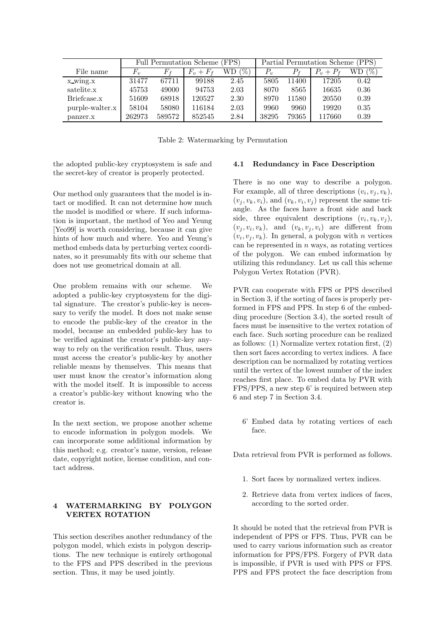|                 | (FPS)<br>Full Permutation Scheme ( |        |                    | Partial Permutation Scheme (PPS) |       |       |               |       |
|-----------------|------------------------------------|--------|--------------------|----------------------------------|-------|-------|---------------|-------|
| File name       | $F_{v}$                            | F,     | $+ F_f$<br>$F_{v}$ | 'H<br>WD                         |       |       | $P_{v}+P_{f}$ | $(\%$ |
| x wing.x        | 31477                              | 67711  | 99188              | 2.45                             | 5805  | 11400 | 17205         | 0.42  |
| satelite.x      | 45753                              | 49000  | 94753              | 2.03                             | 8070  | 8565  | 16635         | 0.36  |
| Briefcase.x     | 51609                              | 68918  | 120527             | 2.30                             | 8970  | 11580 | 20550         | 0.39  |
| purple-walter.x | 58104                              | 58080  | 116184             | 2.03                             | 9960  | 9960  | 19920         | 0.35  |
| panzer.x        | 262973                             | 589572 | 852545             | 2.84                             | 38295 | 79365 | 117660        | 0.39  |

Table 2: Watermarking by Permutation

the adopted public-key cryptosystem is safe and the secret-key of creator is properly protected.

Our method only guarantees that the model is intact or modified. It can not determine how much the model is modified or where. If such information is important, the method of Yeo and Yeung [Yeo99] is worth considering, because it can give hints of how much and where. Yeo and Yeung's method embeds data by perturbing vertex coordinates, so it presumably fits with our scheme that does not use geometrical domain at all.

One problem remains with our scheme. We adopted a public-key cryptosystem for the digital signature. The creator's public-key is necessary to verify the model. It does not make sense to encode the public-key of the creator in the model, because an embedded public-key has to be verified against the creator's public-key anyway to rely on the verification result. Thus, users must access the creator's public-key by another reliable means by themselves. This means that user must know the creator's information along with the model itself. It is impossible to access a creator's public-key without knowing who the creator is.

In the next section, we propose another scheme to encode information in polygon models. We can incorporate some additional information by this method; e.g. creator's name, version, release date, copyright notice, license condition, and contact address.

# **4 WATERMARKING BY POLYGON VERTEX ROTATION**

This section describes another redundancy of the polygon model, which exists in polygon descriptions. The new technique is entirely orthogonal to the FPS and PPS described in the previous section. Thus, it may be used jointly.

### **4.1 Redundancy in Face Description**

There is no one way to describe a polygon. For example, all of three descriptions  $(v_i, v_j, v_k)$ ,  $(v_i, v_k, v_i)$ , and  $(v_k, v_i, v_j)$  represent the same triangle. As the faces have a front side and back side, three equivalent descriptions  $(v_i, v_k, v_j)$ ,  $(v_i, v_i, v_k)$ , and  $(v_k, v_i, v_i)$  are different from  $(v_i, v_j, v_k)$ . In general, a polygon with *n* vertices can be represented in  $n$  ways, as rotating vertices of the polygon. We can embed information by utilizing this redundancy. Let us call this scheme Polygon Vertex Rotation (PVR).

PVR can cooperate with FPS or PPS described in Section 3, if the sorting of faces is properly performed in FPS and PPS. In step 6 of the embedding procedure (Section 3.4), the sorted result of faces must be insensitive to the vertex rotation of each face. Such sorting procedure can be realized as follows: (1) Normalize vertex rotation first, (2) then sort faces according to vertex indices. A face description can be normalized by rotating vertices until the vertex of the lowest number of the index reaches first place. To embed data by PVR with FPS/PPS, a new step 6' is required between step 6 and step 7 in Section 3.4.

6' Embed data by rotating vertices of each face.

Data retrieval from PVR is performed as follows.

- 1. Sort faces by normalized vertex indices.
- 2. Retrieve data from vertex indices of faces, according to the sorted order.

It should be noted that the retrieval from PVR is independent of PPS or FPS. Thus, PVR can be used to carry various information such as creator information for PPS/FPS. Forgery of PVR data is impossible, if PVR is used with PPS or FPS. PPS and FPS protect the face description from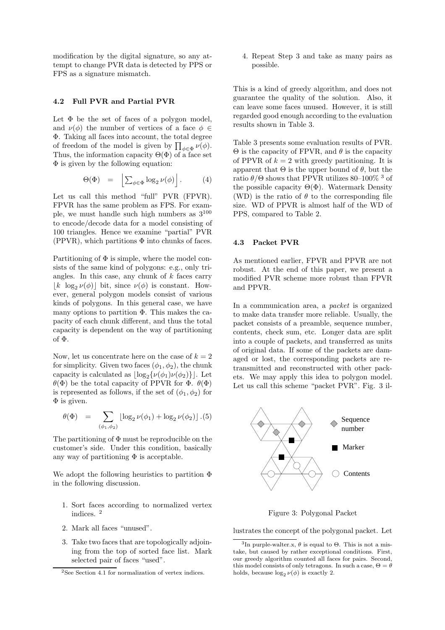modification by the digital signature, so any attempt to change PVR data is detected by PPS or FPS as a signature mismatch.

#### **4.2 Full PVR and Partial PVR**

Let  $\Phi$  be the set of faces of a polygon model, and  $\nu(\phi)$  the number of vertices of a face  $\phi \in$ Φ. Taking all faces into account, the total degree of freedom of the model is given by  $\prod_{\phi \in \Phi} \nu(\phi)$ . Thus, the information capacity  $\Theta(\Phi)$  of a face set  $\Phi$  is given by the following equation:

$$
\Theta(\Phi) = \left[ \sum_{\phi \in \Phi} \log_2 \nu(\phi) \right]. \tag{4}
$$

Let us call this method "full" PVR (FPVR). FPVR has the same problem as FPS. For example, we must handle such high numbers as 3<sup>100</sup> to encode/decode data for a model consisting of 100 triangles. Hence we examine "partial" PVR (PPVR), which partitions  $\Phi$  into chunks of faces.

Partitioning of  $\Phi$  is simple, where the model consists of the same kind of polygons: e.g., only triangles. In this case, any chunk of  $k$  faces carry  $\lfloor k \log_2 \nu(\phi) \rfloor$  bit, since  $\nu(\phi)$  is constant. However, general polygon models consist of various kinds of polygons. In this general case, we have many options to partition  $\Phi$ . This makes the capacity of each chunk different, and thus the total capacity is dependent on the way of partitioning of Φ.

Now, let us concentrate here on the case of  $k = 2$ for simplicity. Given two faces  $(\phi_1, \phi_2)$ , the chunk capacity is calculated as  $\lfloor \log_2\{\nu(\phi_1)\nu(\phi_2)\}\rfloor$ . Let  $θ$ (Φ) be the total capacity of PPVR for Φ.  $θ$ (Φ) is represented as follows, if the set of  $(\phi_1, \phi_2)$  for  $\Phi$  is given.

$$
\theta(\Phi) = \sum_{(\phi_1, \phi_2)} \lfloor \log_2 \nu(\phi_1) + \log_2 \nu(\phi_2) \rfloor . (5)
$$

The partitioning of  $\Phi$  must be reproducible on the customer's side. Under this condition, basically any way of partitioning  $\Phi$  is acceptable.

We adopt the following heuristics to partition Φ in the following discussion.

- 1. Sort faces according to normalized vertex indices. <sup>2</sup>
- 2. Mark all faces "unused".
- 3. Take two faces that are topologically adjoining from the top of sorted face list. Mark selected pair of faces "used".

4. Repeat Step 3 and take as many pairs as possible.

This is a kind of greedy algorithm, and does not guarantee the quality of the solution. Also, it can leave some faces unused. However, it is still regarded good enough according to the evaluation results shown in Table 3.

Table 3 presents some evaluation results of PVR.  $\Theta$  is the capacity of FPVR, and  $\theta$  is the capacity of PPVR of  $k = 2$  with greedy partitioning. It is apparent that  $\Theta$  is the upper bound of  $\theta$ , but the ratio  $\theta/\Theta$  shows that PPVR utilizes 80–100% <sup>3</sup> of the possible capacity  $\Theta(\Phi)$ . Watermark Density (WD) is the ratio of  $\theta$  to the corresponding file size. WD of PPVR is almost half of the WD of PPS, compared to Table 2.

#### **4.3 Packet PVR**

As mentioned earlier, FPVR and PPVR are not robust. At the end of this paper, we present a modified PVR scheme more robust than FPVR and PPVR.

In a communication area, a *packet* is organized to make data transfer more reliable. Usually, the packet consists of a preamble, sequence number, contents, check sum, etc. Longer data are split into a couple of packets, and transferred as units of original data. If some of the packets are damaged or lost, the corresponding packets are retransmitted and reconstructed with other packets. We may apply this idea to polygon model. Let us call this scheme "packet PVR". Fig. 3 il-



Figure 3: Polygonal Packet

lustrates the concept of the polygonal packet. Let

<sup>2</sup>See Section 4.1 for normalization of vertex indices.

<sup>&</sup>lt;sup>3</sup>In purple-walter.x,  $\theta$  is equal to  $\Theta$ . This is not a mistake, but caused by rather exceptional conditions. First, our greedy algorithm counted all faces for pairs. Second, this model consists of only tetragons. In such a case,  $\Theta = \theta$ holds, because  $\log_2 \nu(\phi)$  is exactly 2.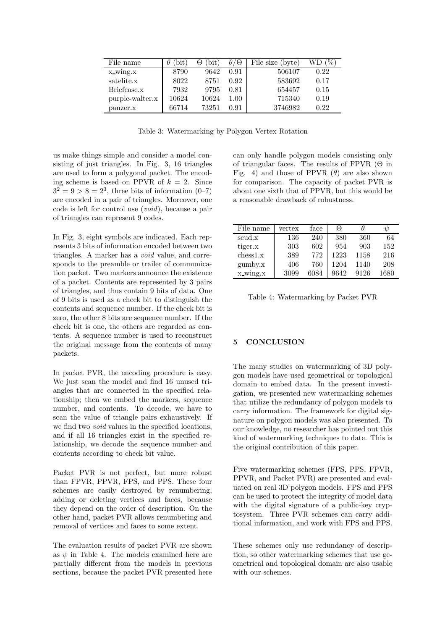| File name       | bit<br>θ | 'bit'<br>Θ | $\theta$ / $\Theta$ | File size (byte) | WD.  |
|-----------------|----------|------------|---------------------|------------------|------|
| x_wing.x        | 8790     | 9642       | 0.91                | 506107           | 0.22 |
| satelite.x      | 8022     | 8751       | 0.92                | 583692           | 0.17 |
| Briefcase.x     | 7932     | 9795       | 0.81                | 654457           | 0.15 |
| purple-walter.x | 10624    | 10624      | 1.00                | 715340           | 0.19 |
| panzer.x        | 66714    | 73251      | 0.91                | 3746982          | 0.22 |

Table 3: Watermarking by Polygon Vertex Rotation

us make things simple and consider a model consisting of just triangles. In Fig. 3, 16 triangles are used to form a polygonal packet. The encoding scheme is based on PPVR of  $k = 2$ . Since  $3^2 = 9 > 8 = 2^3$ , three bits of information  $(0-7)$ are encoded in a pair of triangles. Moreover, one code is left for control use (*void*), because a pair of triangles can represent 9 codes.

In Fig. 3, eight symbols are indicated. Each represents 3 bits of information encoded between two triangles. A marker has a *void* value, and corresponds to the preamble or trailer of communication packet. Two markers announce the existence of a packet. Contents are represented by 3 pairs of triangles, and thus contain 9 bits of data. One of 9 bits is used as a check bit to distinguish the contents and sequence number. If the check bit is zero, the other 8 bits are sequence number. If the check bit is one, the others are regarded as contents. A sequence number is used to reconstruct the original message from the contents of many packets.

In packet PVR, the encoding procedure is easy. We just scan the model and find 16 unused triangles that are connected in the specified relationship; then we embed the markers, sequence number, and contents. To decode, we have to scan the value of triangle pairs exhaustively. If we find two *void* values in the specified locations, and if all 16 triangles exist in the specified relationship, we decode the sequence number and contents according to check bit value.

Packet PVR is not perfect, but more robust than FPVR, PPVR, FPS, and PPS. These four schemes are easily destroyed by renumbering, adding or deleting vertices and faces, because they depend on the order of description. On the other hand, packet PVR allows renumbering and removal of vertices and faces to some extent.

The evaluation results of packet PVR are shown as  $\psi$  in Table 4. The models examined here are partially different from the models in previous sections, because the packet PVR presented here can only handle polygon models consisting only of triangular faces. The results of FPVR  $(\Theta$  in Fig. 4) and those of PPVR  $(\theta)$  are also shown for comparison. The capacity of packet PVR is about one sixth that of PPVR, but this would be a reasonable drawback of robustness.

| File name           | vertex | face | $\Theta$ |      | U    |
|---------------------|--------|------|----------|------|------|
| scud.x              | 136    | 240  | 380      | 360  | 64   |
| tiger.x             | 303    | 602  | 954      | 903  | 152  |
| $\mathrm{chess}1.x$ | 389    | 772  | 1223     | 1158 | 216  |
| gumby.x             | 406    | 760  | 1204     | 1140 | 208  |
| x wing.x            | 3099   | 6084 | 9642     | 9126 | 1680 |

Table 4: Watermarking by Packet PVR

### **5 CONCLUSION**

The many studies on watermarking of 3D polygon models have used geometrical or topological domain to embed data. In the present investigation, we presented new watermarking schemes that utilize the redundancy of polygon models to carry information. The framework for digital signature on polygon models was also presented. To our knowledge, no researcher has pointed out this kind of watermarking techniques to date. This is the original contribution of this paper.

Five watermarking schemes (FPS, PPS, FPVR, PPVR, and Packet PVR) are presented and evaluated on real 3D polygon models. FPS and PPS can be used to protect the integrity of model data with the digital signature of a public-key cryptosystem. Three PVR schemes can carry additional information, and work with FPS and PPS.

These schemes only use redundancy of description, so other watermarking schemes that use geometrical and topological domain are also usable with our schemes.